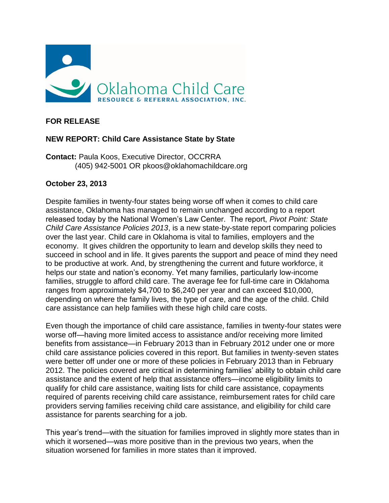

## **FOR RELEASE**

## **NEW REPORT: Child Care Assistance State by State**

**Contact:** Paula Koos, Executive Director, OCCRRA (405) 942-5001 OR pkoos@oklahomachildcare.org

## **October 23, 2013**

Despite families in twenty-four states being worse off when it comes to child care assistance, Oklahoma has managed to remain unchanged according to a report released today by the National Women's Law Center. The report, *Pivot Point: State Child Care Assistance Policies 2013*, is a new state-by-state report comparing policies over the last year. Child care in Oklahoma is vital to families, employers and the economy. It gives children the opportunity to learn and develop skills they need to succeed in school and in life. It gives parents the support and peace of mind they need to be productive at work. And, by strengthening the current and future workforce, it helps our state and nation's economy. Yet many families, particularly low-income families, struggle to afford child care. The average fee for full-time care in Oklahoma ranges from approximately \$4,700 to \$6,240 per year and can exceed \$10,000, depending on where the family lives, the type of care, and the age of the child. Child care assistance can help families with these high child care costs.

Even though the importance of child care assistance, families in twenty-four states were worse off—having more limited access to assistance and/or receiving more limited benefits from assistance—in February 2013 than in February 2012 under one or more child care assistance policies covered in this report. But families in twenty-seven states were better off under one or more of these policies in February 2013 than in February 2012. The policies covered are critical in determining families' ability to obtain child care assistance and the extent of help that assistance offers—income eligibility limits to qualify for child care assistance, waiting lists for child care assistance, copayments required of parents receiving child care assistance, reimbursement rates for child care providers serving families receiving child care assistance, and eligibility for child care assistance for parents searching for a job.

This year's trend—with the situation for families improved in slightly more states than in which it worsened—was more positive than in the previous two years, when the situation worsened for families in more states than it improved.